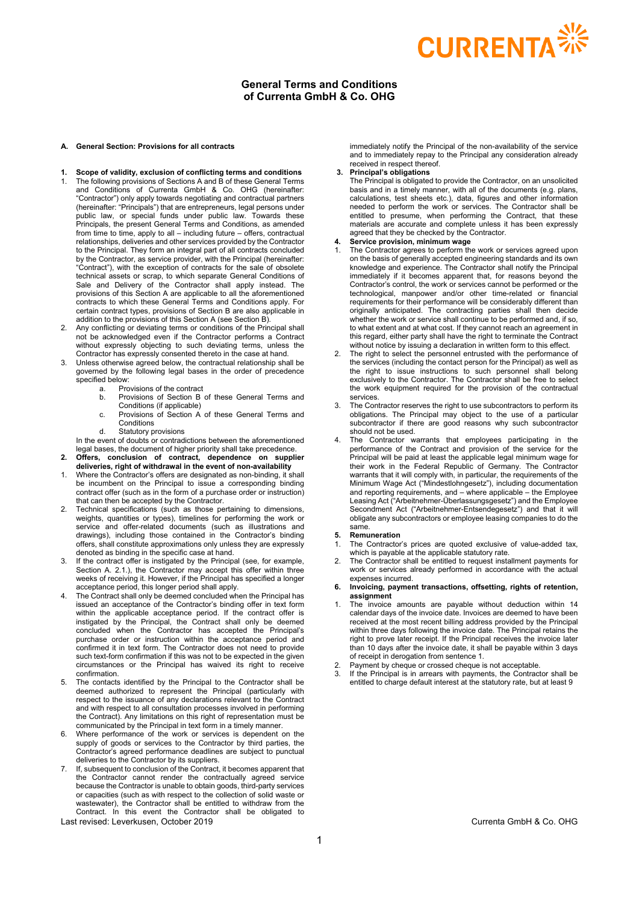# **CURRENTA**

# **General Terms and Conditions of Currenta GmbH & Co. OHG**

#### **A. General Section: Provisions for all contracts**

- **1. Scope of validity, exclusion of conflicting terms and conditions** The following provisions of Sections A and B of these General Terms and Conditions of Currenta GmbH & Co. OHG (hereinafter: "Contractor") only apply towards negotiating and contractual partners (hereinafter: "Principals") that are entrepreneurs, legal persons under public law, or special funds under public law. Towards these Principals, the present General Terms and Conditions, as amended from time to time, apply to all – including future – offers, contractual relationships, deliveries and other services provided by the Contractor to the Principal. They form an integral part of all contracts concluded by the Contractor, as service provider, with the Principal (hereinafter: "Contract"), with the exception of contracts for the sale of obsolete technical assets or scrap, to which separate General Conditions of Sale and Delivery of the Contractor shall apply instead. The provisions of this Section A are applicable to all the aforementioned contracts to which these General Terms and Conditions apply. For certain contract types, provisions of Section B are also applicable in addition to the provisions of this Section A (see Section B).
- 2. Any conflicting or deviating terms or conditions of the Principal shall not be acknowledged even if the Contractor performs a Contract without expressly objecting to such deviating terms, unless the Contractor has expressly consented thereto in the case at hand.
- 3. Unless otherwise agreed below, the contractual relationship shall be governed by the following legal bases in the order of precedence specified below:
	- a. Provisions of the contract<br>b. Provisions of Section B
	- Provisions of Section B of these General Terms and Conditions (if applicable)
	- c. Provisions of Section A of these General Terms and **Conditions**

d. Statutory provisions In the event of doubts or contradictions between the aforementioned legal bases, the document of higher priority shall take precedence.

- **2. Offers, conclusion of contract, dependence on supplier**
- **deliveries, right of withdrawal in the event of non-availability** 1. Where the Contractor's offers are designated as non-binding, it shall be incumbent on the Principal to issue a corresponding binding contract offer (such as in the form of a purchase order or instruction) that can then be accepted by the Contractor.
- 2. Technical specifications (such as those pertaining to dimensions, weights, quantities or types), timelines for performing the work or service and offer-related documents (such as illustrations and drawings), including those contained in the Contractor's binding offers, shall constitute approximations only unless they are expressly denoted as binding in the specific case at hand.
- 3. If the contract offer is instigated by the Principal (see, for example, Section A. 2.1.), the Contractor may accept this offer within three weeks of receiving it. However, if the Principal has specified a longer acceptance period, this longer period shall apply.
- The Contract shall only be deemed concluded when the Principal has issued an acceptance of the Contractor's binding offer in text form within the applicable acceptance period. If the contract offer is instigated by the Principal, the Contract shall only be deemed concluded when the Contractor has accepted the Principal's purchase order or instruction within the acceptance period and confirmed it in text form. The Contractor does not need to provide such text-form confirmation if this was not to be expected in the given circumstances or the Principal has waived its right to receive confirmation.
- 5. The contacts identified by the Principal to the Contractor shall be deemed authorized to represent the Principal (particularly with respect to the issuance of any declarations relevant to the Contract and with respect to all consultation processes involved in performing the Contract). Any limitations on this right of representation must be communicated by the Principal in text form in a timely manner.
- 6. Where performance of the work or services is dependent on the supply of goods or services to the Contractor by third parties, the Contractor's agreed performance deadlines are subject to punctual deliveries to the Contractor by its suppliers.
- 7. If, subsequent to conclusion of the Contract, it becomes apparent that the Contractor cannot render the contractually agreed service because the Contractor is unable to obtain goods, third-party services or capacities (such as with respect to the collection of solid waste or wastewater), the Contractor shall be entitled to withdraw from the Contract. In this event the Contractor shall be obligated to

Last revised: Leverkusen, October 2019 Currenta GmbH & Co. OHG

immediately notify the Principal of the non-availability of the service and to immediately repay to the Principal any consideration already received in respect thereof.

# **3. Principal's obligations**

The Principal is obligated to provide the Contractor, on an unsolicited basis and in a timely manner, with all of the documents (e.g. plans, calculations, test sheets etc.), data, figures and other information needed to perform the work or services. The Contractor shall be entitled to presume, when performing the Contract, that these materials are accurate and complete unless it has been expressly agreed that they be checked by the Contractor.

# **4. Service provision, minimum wage**

- The Contractor agrees to perform the work or services agreed upon on the basis of generally accepted engineering standards and its own knowledge and experience. The Contractor shall notify the Principal immediately if it becomes apparent that, for reasons beyond the Contractor's control, the work or services cannot be performed or the technological, manpower and/or other time-related or financial requirements for their performance will be considerably different than originally anticipated. The contracting parties shall then decide whether the work or service shall continue to be performed and, if so, to what extent and at what cost. If they cannot reach an agreement in this regard, either party shall have the right to terminate the Contract without notice by issuing a declaration in written form to this effect.
- The right to select the personnel entrusted with the performance of the services (including the contact person for the Principal) as well as the right to issue instructions to such personnel shall belong exclusively to the Contractor. The Contractor shall be free to select the work equipment required for the provision of the contractual services.
- 3. The Contractor reserves the right to use subcontractors to perform its obligations. The Principal may object to the use of a particular subcontractor if there are good reasons why such subcontractor should not be used.
- The Contractor warrants that employees participating in the performance of the Contract and provision of the service for the Principal will be paid at least the applicable legal minimum wage for their work in the Federal Republic of Germany. The Contractor warrants that it will comply with, in particular, the requirements of the Minimum Wage Act ("Mindestlohngesetz"), including documentation and reporting requirements, and – where applicable – the Employee Leasing Act ("Arbeitnehmer-Überlassungsgesetz") and the Employee Secondment Act ("Arbeitnehmer-Entsendegesetz") and that it will obligate any subcontractors or employee leasing companies to do the same.

#### **5. Remuneration**

- 1. The Contractor's prices are quoted exclusive of value-added tax, which is payable at the applicable statutory rate.
- 2. The Contractor shall be entitled to request installment payments for work or services already performed in accordance with the actual expenses incurred.
- **6. Invoicing, payment transactions, offsetting, rights of retention, assignment**
- 1. The invoice amounts are payable without deduction within 14 calendar days of the invoice date. Invoices are deemed to have been received at the most recent billing address provided by the Principal within three days following the invoice date. The Principal retains the right to prove later receipt. If the Principal receives the invoice later than 10 days after the invoice date, it shall be payable within 3 days of receipt in derogation from sentence 1.
- 2. Payment by cheque or crossed cheque is not acceptable<br>3. If the Principal is in arrears with nayments, the Contract
- If the Principal is in arrears with payments, the Contractor shall be entitled to charge default interest at the statutory rate, but at least 9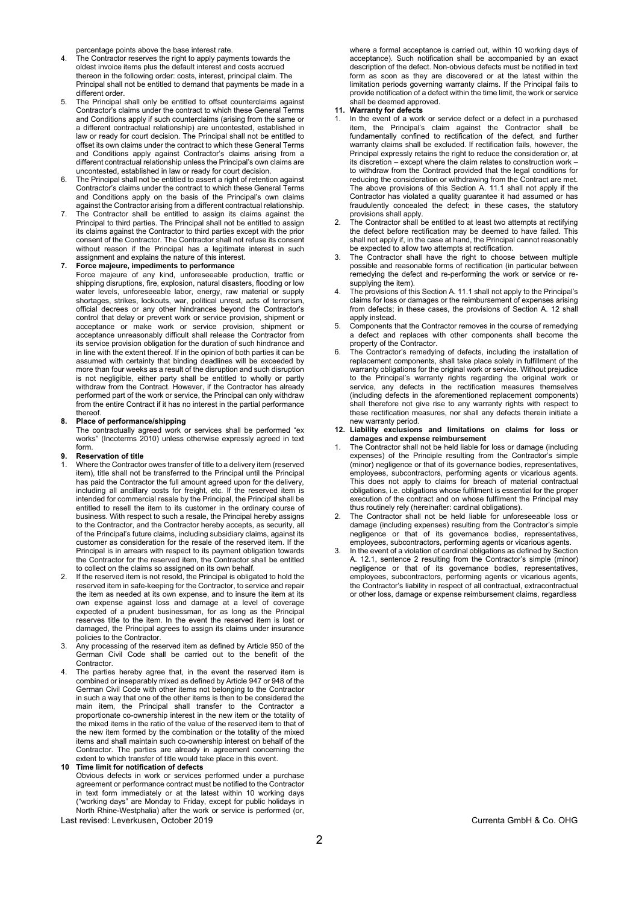percentage points above the base interest rate.

- The Contractor reserves the right to apply payments towards the oldest invoice items plus the default interest and costs accrued thereon in the following order: costs, interest, principal claim. The Principal shall not be entitled to demand that payments be made in a different order.
- The Principal shall only be entitled to offset counterclaims against Contractor's claims under the contract to which these General Terms and Conditions apply if such counterclaims (arising from the same or a different contractual relationship) are uncontested, established in law or ready for court decision. The Principal shall not be entitled to offset its own claims under the contract to which these General Terms and Conditions apply against Contractor's claims arising from a different contractual relationship unless the Principal's own claims are uncontested, established in law or ready for court decision.
- The Principal shall not be entitled to assert a right of retention against Contractor's claims under the contract to which these General Terms and Conditions apply on the basis of the Principal's own claims against the Contractor arising from a different contractual relationship.
- The Contractor shall be entitled to assign its claims against the Principal to third parties. The Principal shall not be entitled to assign its claims against the Contractor to third parties except with the prior consent of the Contractor. The Contractor shall not refuse its consent without reason if the Principal has a legitimate interest in such assignment and explains the nature of this interest.

**7. Force majeure, impediments to performance** Force majeure of any kind, unforeseeable production, traffic or shipping disruptions, fire, explosion, natural disasters, flooding or low water levels, unforeseeable labor, energy, raw material or supply shortages, strikes, lockouts, war, political unrest, acts of terrorism, official decrees or any other hindrances beyond the Contractor's control that delay or prevent work or service provision, shipment or acceptance or make work or service provision, shipment or acceptance unreasonably difficult shall release the Contractor from its service provision obligation for the duration of such hindrance and in line with the extent thereof. If in the opinion of both parties it can be assumed with certainty that binding deadlines will be exceeded by more than four weeks as a result of the disruption and such disruption is not negligible, either party shall be entitled to wholly or partly withdraw from the Contract. However, if the Contractor has already performed part of the work or service, the Principal can only withdraw from the entire Contract if it has no interest in the partial performance thereof.

### **8. Place of performance/shipping**

The contractually agreed work or services shall be performed "ex works" (Incoterms 2010) unless otherwise expressly agreed in text form.

#### **9. Reservation of title**

- Where the Contractor owes transfer of title to a delivery item (reserved item), title shall not be transferred to the Principal until the Principal has paid the Contractor the full amount agreed upon for the delivery, including all ancillary costs for freight, etc. If the reserved item is intended for commercial resale by the Principal, the Principal shall be entitled to resell the item to its customer in the ordinary course of business. With respect to such a resale, the Principal hereby assigns to the Contractor, and the Contractor hereby accepts, as security, all of the Principal's future claims, including subsidiary claims, against its customer as consideration for the resale of the reserved item. If the Principal is in arrears with respect to its payment obligation towards the Contractor for the reserved item, the Contractor shall be entitled to collect on the claims so assigned on its own behalf.
- If the reserved item is not resold, the Principal is obligated to hold the reserved item in safe-keeping for the Contractor, to service and repair the item as needed at its own expense, and to insure the item at its own expense against loss and damage at a level of coverage expected of a prudent businessman, for as long as the Principal reserves title to the item. In the event the reserved item is lost or damaged, the Principal agrees to assign its claims under insurance policies to the Contractor.
- 3. Any processing of the reserved item as defined by Article 950 of the German Civil Code shall be carried out to the benefit of the Contractor.
- The parties hereby agree that, in the event the reserved item is combined or inseparably mixed as defined by Article 947 or 948 of the German Civil Code with other items not belonging to the Contractor in such a way that one of the other items is then to be considered the main item, the Principal shall transfer to the Contractor a proportionate co-ownership interest in the new item or the totality of the mixed items in the ratio of the value of the reserved item to that of the new item formed by the combination or the totality of the mixed items and shall maintain such co-ownership interest on behalf of the Contractor. The parties are already in agreement concerning the extent to which transfer of title would take place in this event.
- Last revised: Leverkusen, October 2019 Currenta GmbH & Co. OHG **10 Time limit for notification of defects** Obvious defects in work or services performed under a purchase agreement or performance contract must be notified to the Contractor in text form immediately or at the latest within 10 working days ("working days" are Monday to Friday, except for public holidays in North Rhine-Westphalia) after the work or service is performed (or,

where a formal acceptance is carried out, within 10 working days of acceptance). Such notification shall be accompanied by an exact description of the defect. Non-obvious defects must be notified in text form as soon as they are discovered or at the latest within the limitation periods governing warranty claims. If the Principal fails to provide notification of a defect within the time limit, the work or service .<br>shall be deemed approved.

# **11. Warranty for defects**

- In the event of a work or service defect or a defect in a purchased item, the Principal's claim against the Contractor shall be fundamentally confined to rectification of the defect, and further warranty claims shall be excluded. If rectification fails, however, the Principal expressly retains the right to reduce the consideration or, at its discretion – except where the claim relates to construction work – to withdraw from the Contract provided that the legal conditions for reducing the consideration or withdrawing from the Contract are met. The above provisions of this Section A. 11.1 shall not apply if the Contractor has violated a quality guarantee it had assumed or has fraudulently concealed the defect; in these cases, the statutory provisions shall apply.
- The Contractor shall be entitled to at least two attempts at rectifying the defect before rectification may be deemed to have failed. This shall not apply if, in the case at hand, the Principal cannot reasonably be expected to allow two attempts at rectification.
- 3. The Contractor shall have the right to choose between multiple possible and reasonable forms of rectification (in particular between remedying the defect and re-performing the work or service or resupplying the item).
- The provisions of this Section A. 11.1 shall not apply to the Principal's claims for loss or damages or the reimbursement of expenses arising from defects; in these cases, the provisions of Section A. 12 shall apply instead.
- 5. Components that the Contractor removes in the course of remedying a defect and replaces with other components shall become the property of the Contractor.
- The Contractor's remedying of defects, including the installation of replacement components, shall take place solely in fulfillment of the warranty obligations for the original work or service. Without prejudice to the Principal's warranty rights regarding the original work or service, any defects in the rectification measures themselves (including defects in the aforementioned replacement components) shall therefore not give rise to any warranty rights with respect to these rectification measures, nor shall any defects therein initiate a new warranty period.
- **12. Liability exclusions and limitations on claims for loss or damages and expense reimbursement**
- 1. The Contractor shall not be held liable for loss or damage (including expenses) of the Principle resulting from the Contractor's simple (minor) negligence or that of its governance bodies, representatives, employees, subcontractors, performing agents or vicarious agents. This does not apply to claims for breach of material contractual obligations, i.e. obligations whose fulfilment is essential for the proper execution of the contract and on whose fulfilment the Principal may thus routinely rely (hereinafter: cardinal obligations).
- The Contractor shall not be held liable for unforeseeable loss or damage (including expenses) resulting from the Contractor's simple negligence or that of its governance bodies, representatives, employees, subcontractors, performing agents or vicarious agents.
- In the event of a violation of cardinal obligations as defined by Section A. 12.1, sentence 2 resulting from the Contractor's simple (minor) negligence or that of its governance bodies, representatives, employees, subcontractors, performing agents or vicarious agents, the Contractor's liability in respect of all contractual, extracontractual or other loss, damage or expense reimbursement claims, regardless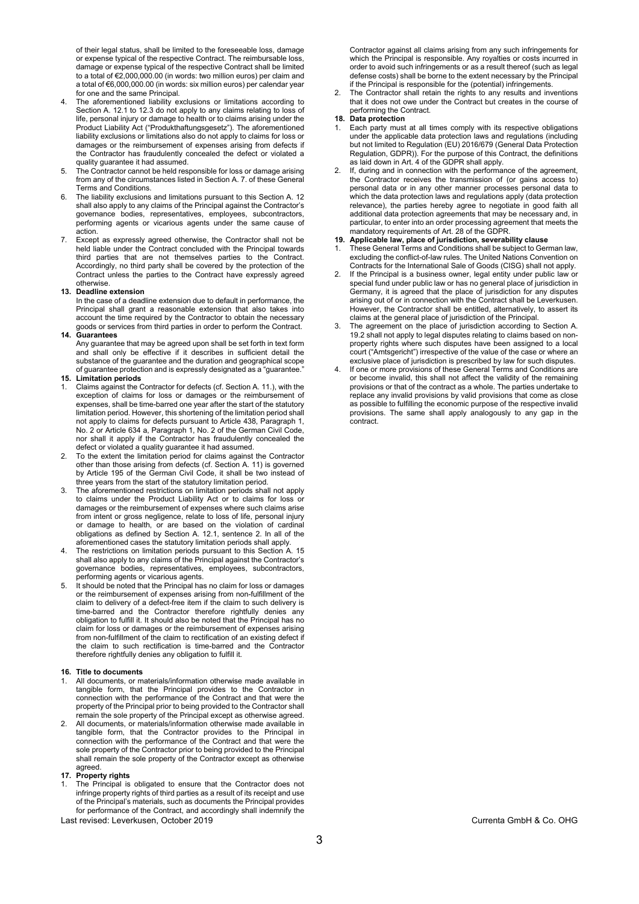of their legal status, shall be limited to the foreseeable loss, damage or expense typical of the respective Contract. The reimbursable loss, damage or expense typical of the respective Contract shall be limited to a total of €2,000,000.00 (in words: two million euros) per claim and a total of €6,000,000.00 (in words: six million euros) per calendar year for one and the same Principal.

- The aforementioned liability exclusions or limitations according to Section A. 12.1 to 12.3 do not apply to any claims relating to loss of life, personal injury or damage to health or to claims arising under the Product Liability Act ("Produkthaftungsgesetz"). The aforementioned liability exclusions or limitations also do not apply to claims for loss or damages or the reimbursement of expenses arising from defects if the Contractor has fraudulently concealed the defect or violated a quality guarantee it had assumed.
- 5. The Contractor cannot be held responsible for loss or damage arising from any of the circumstances listed in Section A. 7. of these General Terms and Conditions.
- 6. The liability exclusions and limitations pursuant to this Section A. 12 shall also apply to any claims of the Principal against the Contractor's governance bodies, representatives, employees, subcontractors, performing agents or vicarious agents under the same cause of action.
- 7. Except as expressly agreed otherwise, the Contractor shall not be held liable under the Contract concluded with the Principal towards third parties that are not themselves parties to the Contract. Accordingly, no third party shall be covered by the protection of the Contract unless the parties to the Contract have expressly agreed otherwise.

#### **13. Deadline extension**

In the case of a deadline extension due to default in performance, the Principal shall grant a reasonable extension that also takes into account the time required by the Contractor to obtain the necessary goods or services from third parties in order to perform the Contract.

# **14. Guarantees**

Any guarantee that may be agreed upon shall be set forth in text form and shall only be effective if it describes in sufficient detail the substance of the guarantee and the duration and geographical scope of guarantee protection and is expressly designated as a "guarantee."

# **15. Limitation periods**

- 1. Claims against the Contractor for defects (cf. Section A. 11.), with the exception of claims for loss or damages or the reimbursement of expenses, shall be time-barred one year after the start of the statutory limitation period. However, this shortening of the limitation period shall not apply to claims for defects pursuant to Article 438, Paragraph 1, No. 2 or Article 634 a, Paragraph 1, No. 2 of the German Civil Code, nor shall it apply if the Contractor has fraudulently concealed the defect or violated a quality guarantee it had assumed.
- 2. To the extent the limitation period for claims against the Contractor other than those arising from defects (cf. Section A. 11) is governed by Article 195 of the German Civil Code, it shall be two instead of three years from the start of the statutory limitation period.
- The aforementioned restrictions on limitation periods shall not apply to claims under the Product Liability Act or to claims for loss or damages or the reimbursement of expenses where such claims arise from intent or gross negligence, relate to loss of life, personal injury or damage to health, or are based on the violation of cardinal obligations as defined by Section A. 12.1, sentence 2. In all of the aforementioned cases the statutory limitation periods shall apply.
- The restrictions on limitation periods pursuant to this Section A. 15 shall also apply to any claims of the Principal against the Contractor's governance bodies, representatives, employees, subcontractors, performing agents or vicarious agents.
- 5. It should be noted that the Principal has no claim for loss or damages or the reimbursement of expenses arising from non-fulfillment of the claim to delivery of a defect-free item if the claim to such delivery is time-barred and the Contractor therefore rightfully denies any obligation to fulfill it. It should also be noted that the Principal has no claim for loss or damages or the reimbursement of expenses arising from non-fulfillment of the claim to rectification of an existing defect if the claim to such rectification is time-barred and the Contractor therefore rightfully denies any obligation to fulfill it.

# **16. Title to documents**

- All documents, or materials/information otherwise made available in tangible form, that the Principal provides to the Contractor in connection with the performance of the Contract and that were the property of the Principal prior to being provided to the Contractor shall remain the sole property of the Principal except as otherwise agreed.
- 2. All documents, or materials/information otherwise made available in tangible form, that the Contractor provides to the Principal in connection with the performance of the Contract and that were the sole property of the Contractor prior to being provided to the Principal shall remain the sole property of the Contractor except as otherwise agreed.

## **17. Property rights**

Last revised: Leverkusen, October 2019 Currenta GmbH & Co. OHG 1. The Principal is obligated to ensure that the Contractor does not infringe property rights of third parties as a result of its receipt and use of the Principal's materials, such as documents the Principal provides for performance of the Contract, and accordingly shall indemnify the

Contractor against all claims arising from any such infringements for which the Principal is responsible. Any royalties or costs incurred in order to avoid such infringements or as a result thereof (such as legal defense costs) shall be borne to the extent necessary by the Principal if the Principal is responsible for the (potential) infringements.

2. The Contractor shall retain the rights to any results and inventions that it does not owe under the Contract but creates in the course of performing the Contract.

# **18. Data protection**

- 1. Each party must at all times comply with its respective obligations under the applicable data protection laws and regulations (including but not limited to Regulation (EU) 2016/679 (General Data Protection Regulation, GDPR)). For the purpose of this Contract, the definitions as laid down in Art. 4 of the GDPR shall apply.
- 2. If, during and in connection with the performance of the agreement, the Contractor receives the transmission of (or gains access to) personal data or in any other manner processes personal data to which the data protection laws and regulations apply (data protection relevance), the parties hereby agree to negotiate in good faith all additional data protection agreements that may be necessary and, in particular, to enter into an order processing agreement that meets the mandatory requirements of Art. 28 of the GDPR.

# **19. Applicable law, place of jurisdiction, severability clause**

- 1. These General Terms and Conditions shall be subject to German law, excluding the conflict-of-law rules. The United Nations Convention on Contracts for the International Sale of Goods (CISG) shall not apply.
- If the Principal is a business owner, legal entity under public law or special fund under public law or has no general place of jurisdiction in Germany, it is agreed that the place of jurisdiction for any disputes arising out of or in connection with the Contract shall be Leverkusen. However, the Contractor shall be entitled, alternatively, to assert its claims at the general place of jurisdiction of the Principal.
- 3. The agreement on the place of jurisdiction according to Section A. 19.2 shall not apply to legal disputes relating to claims based on nonproperty rights where such disputes have been assigned to a local court ("Amtsgericht") irrespective of the value of the case or where an exclusive place of jurisdiction is prescribed by law for such disputes.
- 4. If one or more provisions of these General Terms and Conditions are or become invalid, this shall not affect the validity of the remaining provisions or that of the contract as a whole. The parties undertake to replace any invalid provisions by valid provisions that come as close as possible to fulfilling the economic purpose of the respective invalid provisions. The same shall apply analogously to any gap in the contract.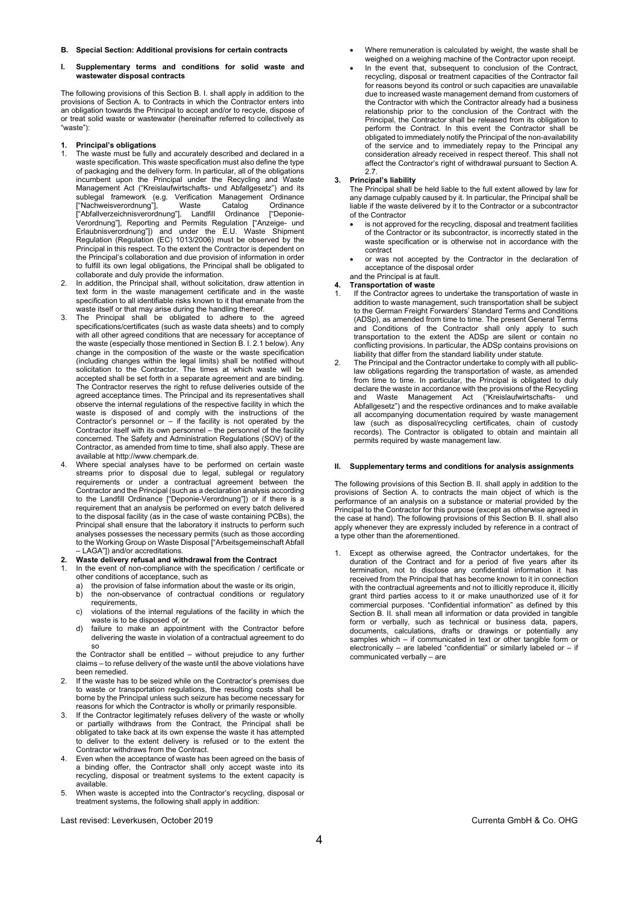**B. Special Section: Additional provisions for certain contracts**

### **I. Supplementary terms and conditions for solid waste and wastewater disposal contracts**

The following provisions of this Section B. I. shall apply in addition to the provisions of Section A. to Contracts in which the Contractor enters into an obligation towards the Principal to accept and/or to recycle, dispose of or treat solid waste or wastewater (hereinafter referred to collectively as "waste"):

# **1. Principal's obligations**

- 1. The waste must be fully and accurately described and declared in a waste specification. This waste specification must also define the type of packaging and the delivery form. In particular, all of the obligations incumbent upon the Principal under the Recycling and Waste Management Act ("Kreislaufwirtschafts- und Abfallgesetz") and its sublegal framework (e.g. Verification Management Ordinance ["Nachweisverordnung"], Waste Catalog Ordinance ["Abfallverzeichnisverordnung"], Landfill Ordinance ["Deponie-Verordnung"], Reporting and Permits Regulation ["Anzeige- und Erlaubnisverordnung"]) and under the E.U. Waste Shipment Regulation (Regulation (EC) 1013/2006) must be observed by the Principal in this respect. To the extent the Contractor is dependent on the Principal's collaboration and due provision of information in order to fulfill its own legal obligations, the Principal shall be obligated to collaborate and duly provide the information.
- In addition, the Principal shall, without solicitation, draw attention in text form in the waste management certificate and in the waste specification to all identifiable risks known to it that emanate from the waste itself or that may arise during the handling thereof.
- 3. The Principal shall be obligated to adhere to the agreed specifications/certificates (such as waste data sheets) and to comply with all other agreed conditions that are necessary for acceptance of the waste (especially those mentioned in Section B. I. 2.1 below). Any change in the composition of the waste or the waste specification (including changes within the legal limits) shall be notified without solicitation to the Contractor. The times at which waste will be accepted shall be set forth in a separate agreement and are binding. The Contractor reserves the right to refuse deliveries outside of the agreed acceptance times. The Principal and its representatives shall observe the internal regulations of the respective facility in which the waste is disposed of and comply with the instructions of the Contractor's personnel or  $-$  if the facility is not operated by the Contractor itself with its own personnel – the personnel of the facility concerned. The Safety and Administration Regulations (SOV) of the Contractor, as amended from time to time, shall also apply. These are available at http://www.chempark.de.
- Where special analyses have to be performed on certain waste streams prior to disposal due to legal, sublegal or regulatory requirements or under a contractual agreement between the Contractor and the Principal (such as a declaration analysis according to the Landfill Ordinance ["Deponie-Verordnung"]) or if there is a requirement that an analysis be performed on every batch delivered to the disposal facility (as in the case of waste containing PCBs), the Principal shall ensure that the laboratory it instructs to perform such analyses possesses the necessary permits (such as those according to the Working Group on Waste Disposal ["Arbeitsgemeinschaft Abfall LAGA"]) and/or accreditations.
- **2. Waste delivery refusal and withdrawal from the Contract**
- In the event of non-compliance with the specification / certificate or other conditions of acceptance, such as
	- the provision of false information about the waste or its origin.
	- b) the non-observance of contractual conditions or regulatory requirements,
	- c) violations of the internal regulations of the facility in which the waste is to be disposed of, or
	- d) failure to make an appointment with the Contractor before delivering the waste in violation of a contractual agreement to do so

the Contractor shall be entitled – without prejudice to any further claims – to refuse delivery of the waste until the above violations have been remedied.

- If the waste has to be seized while on the Contractor's premises due to waste or transportation regulations, the resulting costs shall be borne by the Principal unless such seizure has become necessary for reasons for which the Contractor is wholly or primarily responsible.
- 3. If the Contractor legitimately refuses delivery of the waste or wholly or partially withdraws from the Contract, the Principal shall be obligated to take back at its own expense the waste it has attempted to deliver to the extent delivery is refused or to the extent the Contractor withdraws from the Contract.
- Even when the acceptance of waste has been agreed on the basis of a binding offer, the Contractor shall only accept waste into its recycling, disposal or treatment systems to the extent capacity is available.
- 5. When waste is accepted into the Contractor's recycling, disposal or treatment systems, the following shall apply in addition:
- Where remuneration is calculated by weight, the waste shall be weighed on a weighing machine of the Contractor upon receipt.
- In the event that, subsequent to conclusion of the Contract, recycling, disposal or treatment capacities of the Contractor fail for reasons beyond its control or such capacities are unavailable due to increased waste management demand from customers of the Contractor with which the Contractor already had a business relationship prior to the conclusion of the Contract with the Principal, the Contractor shall be released from its obligation to perform the Contract. In this event the Contractor shall be obligated to immediately notify the Principal of the non-availability of the service and to immediately repay to the Principal any consideration already received in respect thereof. This shall not affect the Contractor's right of withdrawal pursuant to Section A. 2.7.

# **3. Principal's liability**

The Principal shall be held liable to the full extent allowed by law for any damage culpably caused by it. In particular, the Principal shall be liable if the waste delivered by it to the Contractor or a subcontractor of the Contractor

- is not approved for the recycling, disposal and treatment facilities of the Contractor or its subcontractor, is incorrectly stated in the waste specification or is otherwise not in accordance with the contract
- or was not accepted by the Contractor in the declaration of acceptance of the disposal order

### and the Principal is at fault. **4. Transportation of waste**

- If the Contractor agrees to undertake the transportation of waste in addition to waste management, such transportation shall be subject to the German Freight Forwarders' Standard Terms and Conditions (ADSp), as amended from time to time. The present General Terms and Conditions of the Contractor shall only apply to such transportation to the extent the ADSp are silent or contain no conflicting provisions. In particular, the ADSp contains provisions on liability that differ from the standard liability under statute.
- 2. The Principal and the Contractor undertake to comply with all publiclaw obligations regarding the transportation of waste, as amended from time to time. In particular, the Principal is obligated to duly declare the waste in accordance with the provisions of the Recycling and Waste Management Act ("Kreislaufwirtschafts-Abfallgesetz") and the respective ordinances and to make available all accompanying documentation required by waste management law (such as disposal/recycling certificates, chain of custody records). The Contractor is obligated to obtain and maintain all permits required by waste management law.

## **II. Supplementary terms and conditions for analysis assignments**

The following provisions of this Section B. II. shall apply in addition to the provisions of Section A. to contracts the main object of which is the performance of an analysis on a substance or material provided by the Principal to the Contractor for this purpose (except as otherwise agreed in the case at hand). The following provisions of this Section B. II. shall also apply whenever they are expressly included by reference in a contract of a type other than the aforementioned.

Except as otherwise agreed, the Contractor undertakes, for the duration of the Contract and for a period of five years after its termination, not to disclose any confidential information it has received from the Principal that has become known to it in connection with the contractual agreements and not to illicitly reproduce it, illicitly grant third parties access to it or make unauthorized use of it for commercial purposes. "Confidential information" as defined by this Section B. II. shall mean all information or data provided in tangible form or verbally, such as technical or business data, papers, documents, calculations, drafts or drawings or potentially any samples which – if communicated in text or other tangible form or electronically – are labeled "confidential" or similarly labeled or – if communicated verbally – are

Last revised: Leverkusen, October 2019 Currenta GmbH & Co. OHG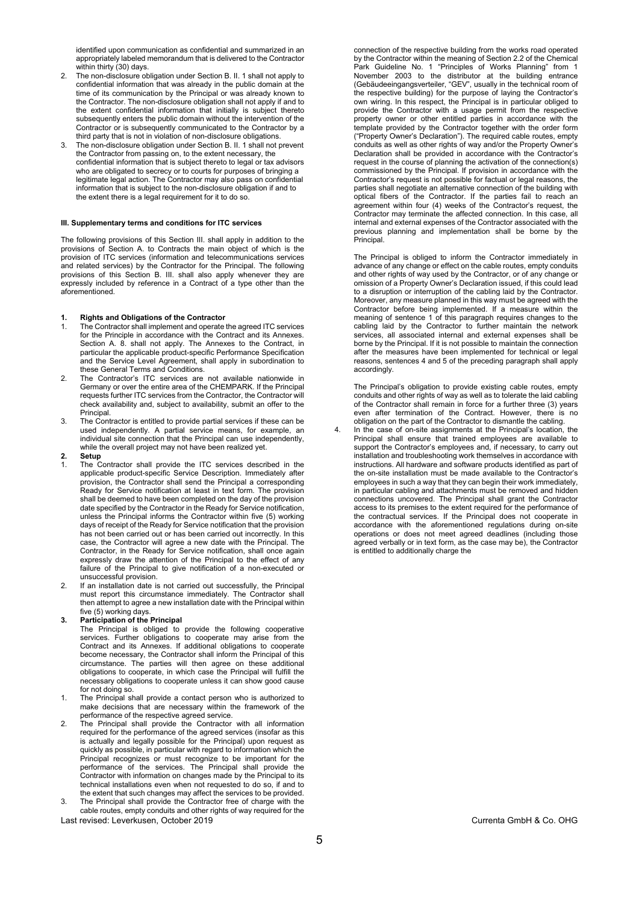identified upon communication as confidential and summarized in an appropriately labeled memorandum that is delivered to the Contractor within thirty (30) days.

- 2. The non-disclosure obligation under Section B. II. 1 shall not apply to confidential information that was already in the public domain at the time of its communication by the Principal or was already known to the Contractor. The non-disclosure obligation shall not apply if and to the extent confidential information that initially is subject thereto subsequently enters the public domain without the intervention of the Contractor or is subsequently communicated to the Contractor by a third party that is not in violation of non-disclosure obligations.
- The non-disclosure obligation under Section B. II. 1 shall not prevent the Contractor from passing on, to the extent necessary, the confidential information that is subject thereto to legal or tax advisors who are obligated to secrecy or to courts for purposes of bringing a legitimate legal action. The Contractor may also pass on confidential information that is subject to the non-disclosure obligation if and to the extent there is a legal requirement for it to do so.

# **III. Supplementary terms and conditions for ITC services**

The following provisions of this Section III. shall apply in addition to the provisions of Section A. to Contracts the main object of which is the provision of ITC services (information and telecommunications services and related services) by the Contractor for the Principal. The following provisions of this Section B. III. shall also apply whenever they are expressly included by reference in a Contract of a type other than the aforementioned.

#### **1. Rights and Obligations of the Contractor**

- 1. The Contractor shall implement and operate the agreed ITC services for the Principle in accordance with the Contract and its Annexes. Section A. 8. shall not apply. The Annexes to the Contract, in particular the applicable product-specific Performance Specification and the Service Level Agreement, shall apply in subordination to these General Terms and Conditions.
- 2. The Contractor's ITC services are not available nationwide in Germany or over the entire area of the CHEMPARK. If the Principal requests further ITC services from the Contractor, the Contractor will check availability and, subject to availability, submit an offer to the Principal.
- 3. The Contractor is entitled to provide partial services if these can be used independently. A partial service means, for example, an individual site connection that the Principal can use independently, while the overall project may not have been realized yet.
- **2. Setup**
- 1. The Contractor shall provide the ITC services described in the applicable product-specific Service Description. Immediately after provision, the Contractor shall send the Principal a corresponding Ready for Service notification at least in text form. The provision shall be deemed to have been completed on the day of the provision date specified by the Contractor in the Ready for Service notification, unless the Principal informs the Contractor within five (5) working days of receipt of the Ready for Service notification that the provision has not been carried out or has been carried out incorrectly. In this case, the Contractor will agree a new date with the Principal. The Contractor, in the Ready for Service notification, shall once again expressly draw the attention of the Principal to the effect of any failure of the Principal to give notification of a non-executed or unsuccessful provision.
- 2. If an installation date is not carried out successfully, the Principal must report this circumstance immediately. The Contractor shall then attempt to agree a new installation date with the Principal within five (5) working days.

# **3. Participation of the Principal**

The Principal is obliged to provide the following cooperative services. Further obligations to cooperate may arise from the Contract and its Annexes. If additional obligations to cooperate become necessary, the Contractor shall inform the Principal of this circumstance. The parties will then agree on these additional obligations to cooperate, in which case the Principal will fulfill the necessary obligations to cooperate unless it can show good cause for not doing so.

- 1. The Principal shall provide a contact person who is authorized to make decisions that are necessary within the framework of the performance of the respective agreed service.
- 2. The Principal shall provide the Contractor with all information required for the performance of the agreed services (insofar as this is actually and legally possible for the Principal) upon request as quickly as possible, in particular with regard to information which the Principal recognizes or must recognize to be important for the performance of the services. The Principal shall provide the Contractor with information on changes made by the Principal to its technical installations even when not requested to do so, if and to the extent that such changes may affect the services to be provided.
- Last revised: Leverkusen, October 2019 Currenta GmbH & Co. OHG 3. The Principal shall provide the Contractor free of charge with the cable routes, empty conduits and other rights of way required for the

connection of the respective building from the works road operated by the Contractor within the meaning of Section 2.2 of the Chemical Park Guideline No. 1 "Principles of Works Planning" from 1 November 2003 to the distributor at the building entrance (Gebäudeeingangsverteiler, "GEV", usually in the technical room of the respective building) for the purpose of laying the Contractor's own wiring. In this respect, the Principal is in particular obliged to provide the Contractor with a usage permit from the respective property owner or other entitled parties in accordance with the template provided by the Contractor together with the order form ("Property Owner's Declaration"). The required cable routes, empty conduits as well as other rights of way and/or the Property Owner's Declaration shall be provided in accordance with the Contractor's request in the course of planning the activation of the connection(s) commissioned by the Principal. If provision in accordance with the Contractor's request is not possible for factual or legal reasons, the parties shall negotiate an alternative connection of the building with optical fibers of the Contractor. If the parties fail to reach an agreement within four (4) weeks of the Contractor's request, the Contractor may terminate the affected connection. In this case, all internal and external expenses of the Contractor associated with the previous planning and implementation shall be borne by the Principal.

The Principal is obliged to inform the Contractor immediately in advance of any change or effect on the cable routes, empty conduits and other rights of way used by the Contractor, or of any change or omission of a Property Owner's Declaration issued, if this could lead to a disruption or interruption of the cabling laid by the Contractor. Moreover, any measure planned in this way must be agreed with the Contractor before being implemented. If a measure within the meaning of sentence 1 of this paragraph requires changes to the cabling laid by the Contractor to further maintain the network services, all associated internal and external expenses shall be borne by the Principal. If it is not possible to maintain the connection after the measures have been implemented for technical or legal reasons, sentences 4 and 5 of the preceding paragraph shall apply accordingly.

The Principal's obligation to provide existing cable routes, empty conduits and other rights of way as well as to tolerate the laid cabling of the Contractor shall remain in force for a further three (3) years even after termination of the Contract. However, there is no obligation on the part of the Contractor to dismantle the cabling.

4. In the case of on-site assignments at the Principal's location, the Principal shall ensure that trained employees are available to support the Contractor's employees and, if necessary, to carry out installation and troubleshooting work themselves in accordance with instructions. All hardware and software products identified as part of the on-site installation must be made available to the Contractor's employees in such a way that they can begin their work immediately, in particular cabling and attachments must be removed and hidden connections uncovered. The Principal shall grant the Contractor access to its premises to the extent required for the performance of the contractual services. If the Principal does not cooperate in accordance with the aforementioned regulations during on-site operations or does not meet agreed deadlines (including those agreed verbally or in text form, as the case may be), the Contractor is entitled to additionally charge the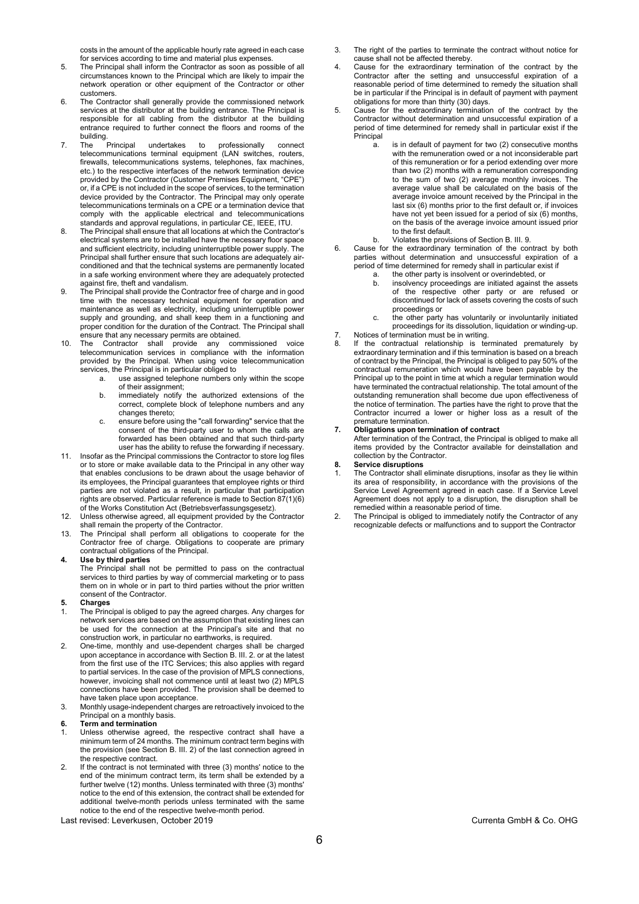costs in the amount of the applicable hourly rate agreed in each case for services according to time and material plus expenses.

- 5. The Principal shall inform the Contractor as soon as possible of all circumstances known to the Principal which are likely to impair the network operation or other equipment of the Contractor or other customers.
- 6. The Contractor shall generally provide the commissioned network services at the distributor at the building entrance. The Principal is responsible for all cabling from the distributor at the building entrance required to further connect the floors and rooms of the
- building.<br>The Principal 7. The Principal undertakes to professionally connect telecommunications terminal equipment (LAN switches, routers, firewalls, telecommunications systems, telephones, fax machines, etc.) to the respective interfaces of the network termination device provided by the Contractor (Customer Premises Equipment, "CPE") or, if a CPE is not included in the scope of services, to the termination device provided by the Contractor. The Principal may only operate telecommunications terminals on a CPE or a termination device that comply with the applicable electrical and telecommunications standards and approval regulations, in particular CE, IEEE, ITU.
- 8. The Principal shall ensure that all locations at which the Contractor's electrical systems are to be installed have the necessary floor space and sufficient electricity, including uninterruptible power supply. The Principal shall further ensure that such locations are adequately airconditioned and that the technical systems are permanently located in a safe working environment where they are adequately protected against fire, theft and vandalism.
- 9. The Principal shall provide the Contractor free of charge and in good time with the necessary technical equipment for operation and maintenance as well as electricity, including uninterruptible power supply and grounding, and shall keep them in a functioning and proper condition for the duration of the Contract. The Principal shall ensure that any necessary permits are obtained.
- 10. The Contractor shall provide any commissioned voice telecommunication services in compliance with the information provided by the Principal. When using voice telecommunication services, the Principal is in particular obliged to
	- a. use assigned telephone numbers only within the scope of their assignment;
	- b. immediately notify the authorized extensions of the correct, complete block of telephone numbers and any changes thereto;
	- c. ensure before using the "call forwarding" service that the consent of the third-party user to whom the calls are forwarded has been obtained and that such third-party user has the ability to refuse the forwarding if necessary.
- 11. Insofar as the Principal commissions the Contractor to store log files or to store or make available data to the Principal in any other way that enables conclusions to be drawn about the usage behavior of its employees, the Principal guarantees that employee rights or third parties are not violated as a result, in particular that participation rights are observed. Particular reference is made to Section 87(1)(6) of the Works Constitution Act (Betriebsverfassungsgesetz).
- 12. Unless otherwise agreed, all equipment provided by the Contractor shall remain the property of the Contractor.
- 13. The Principal shall perform all obligations to cooperate for the Contractor free of charge. Obligations to cooperate are primary contractual obligations of the Principal.
- **4. Use by third parties**

The Principal shall not be permitted to pass on the contractual services to third parties by way of commercial marketing or to pass them on in whole or in part to third parties without the prior written consent of the Contractor.

- **5. Charges**
- 1. The Principal is obliged to pay the agreed charges. Any charges for network services are based on the assumption that existing lines can be used for the connection at the Principal's site and that no construction work, in particular no earthworks, is required.
- 2. One-time, monthly and use-dependent charges shall be charged upon acceptance in accordance with Section B. III. 2. or at the latest from the first use of the ITC Services; this also applies with regard to partial services. In the case of the provision of MPLS connections, however, invoicing shall not commence until at least two (2) MPLS connections have been provided. The provision shall be deemed to have taken place upon acceptance.
- 3. Monthly usage-independent charges are retroactively invoiced to the Principal on a monthly basis.
- **6. Term and termination**
- Unless otherwise agreed, the respective contract shall have a minimum term of 24 months. The minimum contract term begins with the provision (see Section B. III. 2) of the last connection agreed in the respective contract.
- 2. If the contract is not terminated with three (3) months' notice to the end of the minimum contract term, its term shall be extended by a further twelve (12) months. Unless terminated with three (3) months' notice to the end of this extension, the contract shall be extended for additional twelve-month periods unless terminated with the same notice to the end of the respective twelve-month period.
- Last revised: Leverkusen, October 2019 Currenta GmbH & Co. OHG
- 3. The right of the parties to terminate the contract without notice for cause shall not be affected thereby.
- 4. Cause for the extraordinary termination of the contract by the Contractor after the setting and unsuccessful expiration of a reasonable period of time determined to remedy the situation shall be in particular if the Principal is in default of payment with payment obligations for more than thirty (30) days.
- 5. Cause for the extraordinary termination of the contract by the Contractor without determination and unsuccessful expiration of a period of time determined for remedy shall in particular exist if the Principal
	- a. is in default of payment for two (2) consecutive months with the remuneration owed or a not inconsiderable part of this remuneration or for a period extending over more than two (2) months with a remuneration corresponding to the sum of two (2) average monthly invoices. The average value shall be calculated on the basis of the average invoice amount received by the Principal in the last six (6) months prior to the first default or, if invoices have not yet been issued for a period of six (6) months, on the basis of the average invoice amount issued prior to the first default.
		- b. Violates the provisions of Section B. III. 9.
- 6. Cause for the extraordinary termination of the contract by both parties without determination and unsuccessful expiration of a period of time determined for remedy shall in particular exist if
	- a. the other party is insolvent or overindebted, or insolvency proceedings are initiated against the assets of the respective other party or are refused or discontinued for lack of assets covering the costs of such proceedings or
	- c. the other party has voluntarily or involuntarily initiated proceedings for its dissolution, liquidation or winding-up.
- 7. Notices of termination must be in writing.
- If the contractual relationship is terminated prematurely by extraordinary termination and if this termination is based on a breach of contract by the Principal, the Principal is obliged to pay 50% of the contractual remuneration which would have been payable by the Principal up to the point in time at which a regular termination would have terminated the contractual relationship. The total amount of the outstanding remuneration shall become due upon effectiveness of the notice of termination. The parties have the right to prove that the Contractor incurred a lower or higher loss as a result of the premature termination.

# **7. Obligations upon termination of contract**

After termination of the Contract, the Principal is obliged to make all items provided by the Contractor available for deinstallation and collection by the Contractor.

# **8. Service disruptions**

- The Contractor shall eliminate disruptions, insofar as they lie within its area of responsibility, in accordance with the provisions of the Service Level Agreement agreed in each case. If a Service Level Agreement does not apply to a disruption, the disruption shall be remedied within a reasonable period of time.
- 2. The Principal is obliged to immediately notify the Contractor of any recognizable defects or malfunctions and to support the Contractor